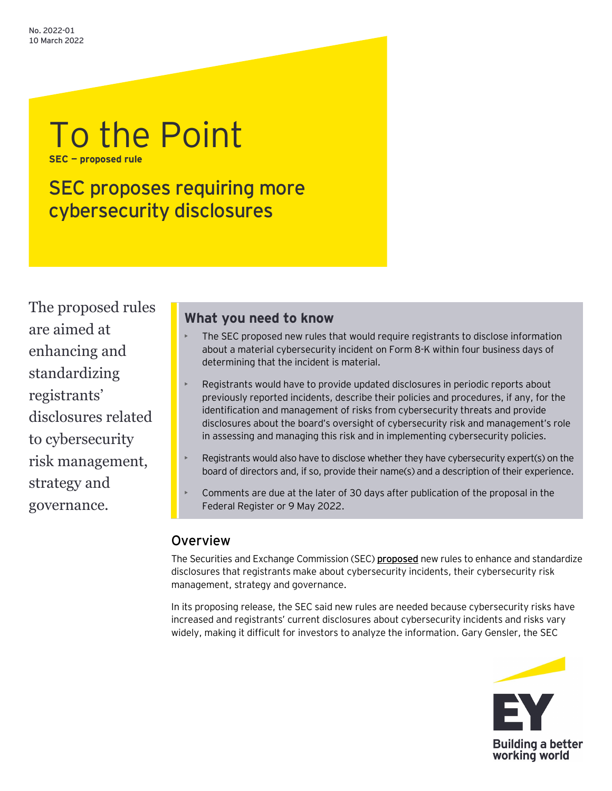# To the Point **SEC — proposed rule**

SEC proposes requiring more cybersecurity disclosures

The proposed rules are aimed at enhancing and standardizing registrants' disclosures related to cybersecurity risk management, strategy and governance.

## **What you need to know**

- The SEC proposed new rules that would require registrants to disclose information about a material cybersecurity incident on Form 8-K within four business days of determining that the incident is material.
- Registrants would have to provide updated disclosures in periodic reports about previously reported incidents, describe their policies and procedures, if any, for the identification and management of risks from cybersecurity threats and provide disclosures about the board's oversight of cybersecurity risk and management's role in assessing and managing this risk and in implementing cybersecurity policies.
- Registrants would also have to disclose whether they have cybersecurity expert(s) on the board of directors and, if so, provide their name(s) and a description of their experience.
- Comments are due at the later of 30 days after publication of the proposal in the Federal Register or 9 May 2022.

# **Overview**

The Securities and Exchange Commission (SEC) **[proposed](https://www.sec.gov/rules/proposed/2022/33-11038.pdf)** new rules to enhance and standardize disclosures that registrants make about cybersecurity incidents, their cybersecurity risk management, strategy and governance.

In its proposing release, the SEC said new rules are needed because cybersecurity risks have increased and registrants' current disclosures about cybersecurity incidents and risks vary widely, making it difficult for investors to analyze the information. Gary Gensler, the SEC

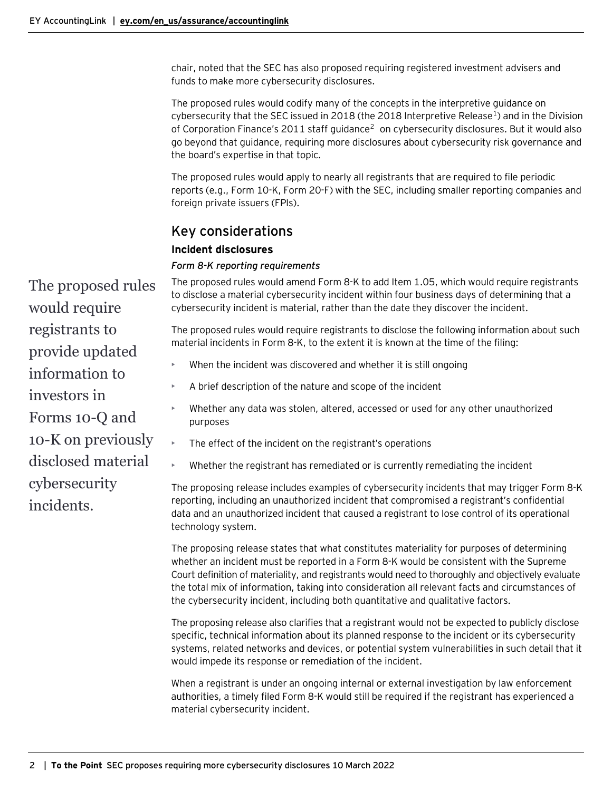chair, noted that the SEC has also proposed requiring registered investment advisers and funds to make more cybersecurity disclosures.

The proposed rules would codify many of the concepts in the interpretive guidance on cybersecurity that the SEC issued in 20[1](#page-3-0)8 (the 2018 Interpretive Release<sup>1</sup>) and in the Division of Corporation Finance's [2](#page-3-1)011 staff guidance<sup>2</sup> on cybersecurity disclosures. But it would also go beyond that guidance, requiring more disclosures about cybersecurity risk governance and the board's expertise in that topic.

The proposed rules would apply to nearly all registrants that are required to file periodic reports (e.g., Form 10-K, Form 20-F) with the SEC, including smaller reporting companies and foreign private issuers (FPIs).

## Key considerations

## **Incident disclosures**

## *Form 8-K reporting requirements*

The proposed rules would amend Form 8-K to add Item 1.05, which would require registrants to disclose a material cybersecurity incident within four business days of determining that a cybersecurity incident is material, rather than the date they discover the incident.

The proposed rules would require registrants to disclose the following information about such material incidents in Form 8-K, to the extent it is known at the time of the filing:

- When the incident was discovered and whether it is still ongoing
- A brief description of the nature and scope of the incident
- Whether any data was stolen, altered, accessed or used for any other unauthorized purposes
- The effect of the incident on the registrant's operations
- Whether the registrant has remediated or is currently remediating the incident

The proposing release includes examples of cybersecurity incidents that may trigger Form 8-K reporting, including an unauthorized incident that compromised a registrant's confidential data and an unauthorized incident that caused a registrant to lose control of its operational technology system.

The proposing release states that what constitutes materiality for purposes of determining whether an incident must be reported in a Form 8-K would be consistent with the Supreme Court definition of materiality, and registrants would need to thoroughly and objectively evaluate the total mix of information, taking into consideration all relevant facts and circumstances of the cybersecurity incident, including both quantitative and qualitative factors.

The proposing release also clarifies that a registrant would not be expected to publicly disclose specific, technical information about its planned response to the incident or its cybersecurity systems, related networks and devices, or potential system vulnerabilities in such detail that it would impede its response or remediation of the incident.

When a registrant is under an ongoing internal or external investigation by law enforcement authorities, a timely filed Form 8-K would still be required if the registrant has experienced a material cybersecurity incident.

The proposed rules would require registrants to provide updated information to investors in Forms 10-Q and 10-K on previously disclosed material cybersecurity incidents.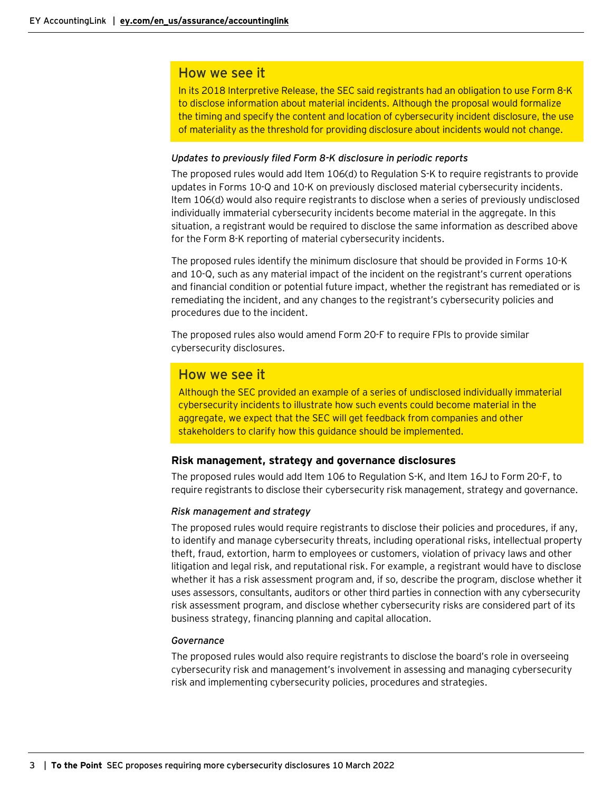## How we see it

In its 2018 Interpretive Release, the SEC said registrants had an obligation to use Form 8-K to disclose information about material incidents. Although the proposal would formalize the timing and specify the content and location of cybersecurity incident disclosure, the use of materiality as the threshold for providing disclosure about incidents would not change.

#### *Updates to previously filed Form 8-K disclosure in periodic reports*

The proposed rules would add Item 106(d) to Regulation S-K to require registrants to provide updates in Forms 10-Q and 10-K on previously disclosed material cybersecurity incidents. Item 106(d) would also require registrants to disclose when a series of previously undisclosed individually immaterial cybersecurity incidents become material in the aggregate. In this situation, a registrant would be required to disclose the same information as described above for the Form 8-K reporting of material cybersecurity incidents.

The proposed rules identify the minimum disclosure that should be provided in Forms 10-K and 10-Q, such as any material impact of the incident on the registrant's current operations and financial condition or potential future impact, whether the registrant has remediated or is remediating the incident, and any changes to the registrant's cybersecurity policies and procedures due to the incident.

The proposed rules also would amend Form 20-F to require FPIs to provide similar cybersecurity disclosures.

## How we see it

Although the SEC provided an example of a series of undisclosed individually immaterial cybersecurity incidents to illustrate how such events could become material in the aggregate, we expect that the SEC will get feedback from companies and other stakeholders to clarify how this guidance should be implemented.

### **Risk management, strategy and governance disclosures**

The proposed rules would add Item 106 to Regulation S-K, and Item 16J to Form 20-F, to require registrants to disclose their cybersecurity risk management, strategy and governance.

### *Risk management and strategy*

The proposed rules would require registrants to disclose their policies and procedures, if any, to identify and manage cybersecurity threats, including operational risks, intellectual property theft, fraud, extortion, harm to employees or customers, violation of privacy laws and other litigation and legal risk, and reputational risk. For example, a registrant would have to disclose whether it has a risk assessment program and, if so, describe the program, disclose whether it uses assessors, consultants, auditors or other third parties in connection with any cybersecurity risk assessment program, and disclose whether cybersecurity risks are considered part of its business strategy, financing planning and capital allocation.

### *Governance*

The proposed rules would also require registrants to disclose the board's role in overseeing cybersecurity risk and management's involvement in assessing and managing cybersecurity risk and implementing cybersecurity policies, procedures and strategies.